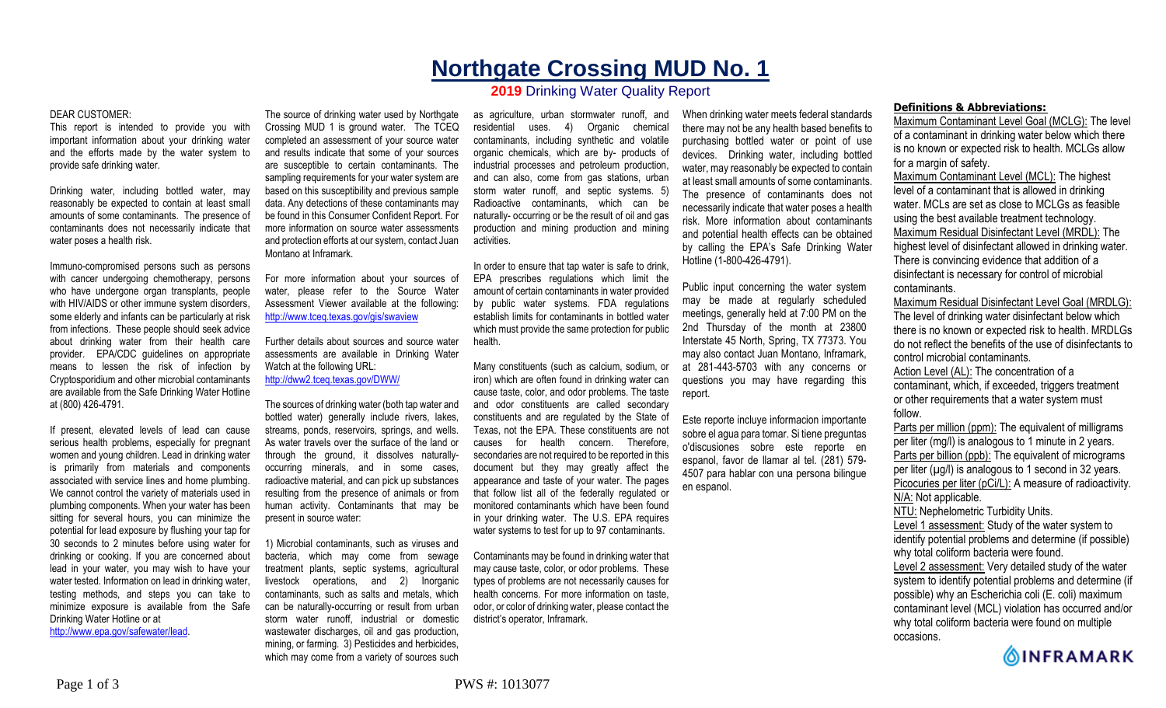# **Northgate Crossing MUD No. 1**

# **2019** Drinking Water Quality Report

#### DEAR CUSTOMER:

This report is intended to provide you with important information about your drinking water and the efforts made by the water system to provide safe drinking water.

Drinking water, including bottled water, may reasonably be expected to contain at least small amounts of some contaminants. The presence of contaminants does not necessarily indicate that water poses a health risk.

Immuno-compromised persons such as persons with cancer undergoing chemotherapy, persons who have undergone organ transplants, people with HIV/AIDS or other immune system disorders, some elderly and infants can be particularly at risk from infections. These people should seek advice about drinking water from their health care provider. EPA/CDC guidelines on appropriate means to lessen the risk of infection by Cryptosporidium and other microbial contaminants are available from the Safe Drinking Water Hotline at (800) 426-4791.

If present, elevated levels of lead can cause serious health problems, especially for pregnant women and young children. Lead in drinking water is primarily from materials and components associated with service lines and home plumbing. We cannot control the variety of materials used in plumbing components. When your water has been sitting for several hours, you can minimize the potential for lead exposure by flushing your tap for 30 seconds to 2 minutes before using water for drinking or cooking. If you are concerned about lead in your water, you may wish to have your water tested. Information on lead in drinking water, testing methods, and steps you can take to minimize exposure is available from the Safe Drinking Water Hotline or at http://www.epa.gov/safewater/lead.

The source of drinking water used by Northgate Crossing MUD 1 is ground water. The TCEQ completed an assessment of your source water and results indicate that some of your sources are susceptible to certain contaminants. The sampling requirements for your water system are based on this susceptibility and previous sample data. Any detections of these contaminants may be found in this Consumer Confident Report. For more information on source water assessments and protection efforts at our system, contact Juan Montano at Inframark.

For more information about your sources of water, please refer to the Source Water Assessment Viewer available at the following: http://www.tceq.texas.gov/gis/swaview

Further details about sources and source water assessments are available in Drinking Water Watch at the following URL: http://dww2.tceq.texas.gov/DWW/

The sources of drinking water (both tap water and bottled water) generally include rivers, lakes, streams, ponds, reservoirs, springs, and wells. As water travels over the surface of the land or through the ground, it dissolves naturallyoccurring minerals, and in some cases, radioactive material, and can pick up substances resulting from the presence of animals or from human activity. Contaminants that may be present in source water:

1) Microbial contaminants, such as viruses and bacteria, which may come from sewage treatment plants, septic systems, agricultural livestock operations, and 2) Inorganic contaminants, such as salts and metals, which can be naturally-occurring or result from urban storm water runoff, industrial or domestic wastewater discharges, oil and gas production, mining, or farming. 3) Pesticides and herbicides, which may come from a variety of sources such

as agriculture, urban stormwater runoff, and residential uses. 4) Organic chemical contaminants, including synthetic and volatile organic chemicals, which are by- products of industrial processes and petroleum production, and can also, come from gas stations, urban storm water runoff, and septic systems. 5) Radioactive contaminants, which can be naturally- occurring or be the result of oil and gas production and mining production and mining activities.

In order to ensure that tap water is safe to drink, EPA prescribes regulations which limit the amount of certain contaminants in water provided by public water systems. FDA regulations establish limits for contaminants in bottled water which must provide the same protection for public health.

Many constituents (such as calcium, sodium, or iron) which are often found in drinking water can cause taste, color, and odor problems. The taste and odor constituents are called secondary constituents and are regulated by the State of Texas, not the EPA. These constituents are not causes for health concern. Therefore, secondaries are not required to be reported in this document but they may greatly affect the appearance and taste of your water. The pages that follow list all of the federally regulated or monitored contaminants which have been found in your drinking water. The U.S. EPA requires water systems to test for up to 97 contaminants.

Contaminants may be found in drinking water that may cause taste, color, or odor problems. These types of problems are not necessarily causes for health concerns. For more information on taste, odor, or color of drinking water, please contact the district's operator, Inframark.

When drinking water meets federal standards there may not be any health based benefits to purchasing bottled water or point of use devices. Drinking water, including bottled water, may reasonably be expected to contain at least small amounts of some contaminants. The presence of contaminants does not necessarily indicate that water poses a health risk. More information about contaminants and potential health effects can be obtained by calling the EPA's Safe Drinking Water Hotline (1-800-426-4791).

Public input concerning the water system may be made at regularly scheduled meetings, generally held at 7:00 PM on the 2nd Thursday of the month at 23800 Interstate 45 North, Spring, TX 77373. You may also contact Juan Montano, Inframark, at 281-443-5703 with any concerns or questions you may have regarding this report.

Este reporte incluye informacion importante sobre el agua para tomar. Si tiene preguntas o'discusiones sobre este reporte en espanol, favor de llamar al tel. (281) 579- 4507 para hablar con una persona bilingue en espanol.

## **Definitions & Abbreviations:**

Maximum Contaminant Level Goal (MCLG): The level of a contaminant in drinking water below which there is no known or expected risk to health. MCLGs allow for a margin of safety.

Maximum Contaminant Level (MCL): The highest level of a contaminant that is allowed in drinking water. MCLs are set as close to MCLGs as feasible using the best available treatment technology. Maximum Residual Disinfectant Level (MRDL): The highest level of disinfectant allowed in drinking water. There is convincing evidence that addition of a disinfectant is necessary for control of microbial contaminants.

Maximum Residual Disinfectant Level Goal (MRDLG): The level of drinking water disinfectant below which there is no known or expected risk to health. MRDLGs do not reflect the benefits of the use of disinfectants to control microbial contaminants.

Action Level (AL): The concentration of a contaminant, which, if exceeded, triggers treatment or other requirements that a water system must follow.

Parts per million (ppm): The equivalent of milligrams per liter (mg/l) is analogous to 1 minute in 2 years. Parts per billion (ppb): The equivalent of micrograms per liter  $(\mu g/l)$  is analogous to 1 second in 32 years. Picocuries per liter (pCi/L): A measure of radioactivity. N/A: Not applicable. NTU: Nephelometric Turbidity Units. Level 1 assessment: Study of the water system to

identify potential problems and determine (if possible) why total coliform bacteria were found.

Level 2 assessment: Very detailed study of the water system to identify potential problems and determine (if possible) why an Escherichia coli (E. coli) maximum contaminant level (MCL) violation has occurred and/or why total coliform bacteria were found on multiple occasions.

**OINFRAMARK**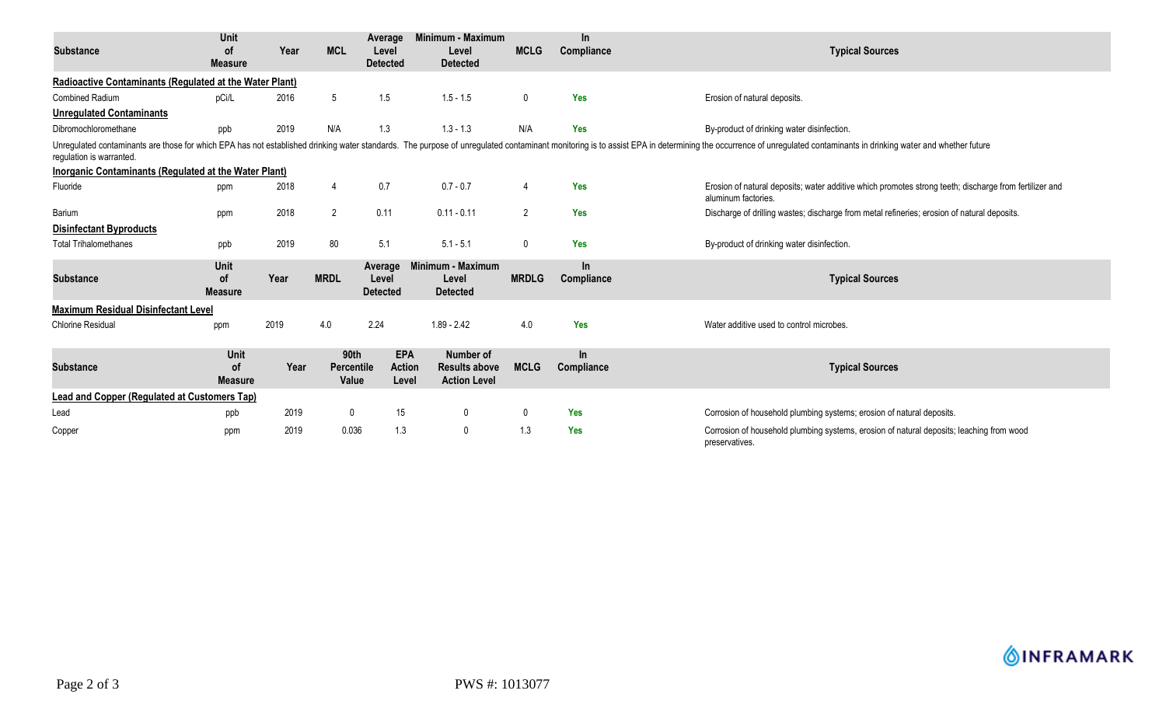| <b>Substance</b>                                                                                                                                                                                                                                           | <b>Unit</b><br><b>of</b><br><b>Measure</b> | Year | <b>MCL</b>                         | Average<br>Level<br><b>Detected</b>  | Minimum - Maximum<br>Level<br><b>Detected</b>            | <b>MCLG</b>    | <b>In</b><br>Compliance | <b>Typical Sources</b>                                                                                                        |  |  |
|------------------------------------------------------------------------------------------------------------------------------------------------------------------------------------------------------------------------------------------------------------|--------------------------------------------|------|------------------------------------|--------------------------------------|----------------------------------------------------------|----------------|-------------------------|-------------------------------------------------------------------------------------------------------------------------------|--|--|
| Radioactive Contaminants (Regulated at the Water Plant)                                                                                                                                                                                                    |                                            |      |                                    |                                      |                                                          |                |                         |                                                                                                                               |  |  |
| <b>Combined Radium</b>                                                                                                                                                                                                                                     | pCi/L                                      | 2016 | 5                                  | 1.5                                  | $1.5 - 1.5$                                              | $\mathbf 0$    | <b>Yes</b>              | Erosion of natural deposits.                                                                                                  |  |  |
| <b>Unregulated Contaminants</b>                                                                                                                                                                                                                            |                                            |      |                                    |                                      |                                                          |                |                         |                                                                                                                               |  |  |
| Dibromochloromethane                                                                                                                                                                                                                                       | ppb                                        | 2019 | N/A                                | 1.3                                  | $1.3 - 1.3$                                              | N/A            | <b>Yes</b>              | By-product of drinking water disinfection.                                                                                    |  |  |
| Unregulated contaminants are those for which EPA has not established drinking water standards. The purpose of unregulated contaminant monitoring is to assist EPA in determining the occurrence of unregulated contaminants in<br>regulation is warranted. |                                            |      |                                    |                                      |                                                          |                |                         |                                                                                                                               |  |  |
| <b>Inorganic Contaminants (Regulated at the Water Plant)</b>                                                                                                                                                                                               |                                            |      |                                    |                                      |                                                          |                |                         |                                                                                                                               |  |  |
| Fluoride                                                                                                                                                                                                                                                   | ppm                                        | 2018 | 4                                  | 0.7                                  | $0.7 - 0.7$                                              | 4              | <b>Yes</b>              | Erosion of natural deposits; water additive which promotes strong teeth; discharge from fertilizer and<br>aluminum factories. |  |  |
| Barium                                                                                                                                                                                                                                                     | ppm                                        | 2018 | $\overline{2}$                     | 0.11                                 | $0.11 - 0.11$                                            | $\overline{2}$ | Yes                     | Discharge of drilling wastes; discharge from metal refineries; erosion of natural deposits.                                   |  |  |
| <b>Disinfectant Byproducts</b>                                                                                                                                                                                                                             |                                            |      |                                    |                                      |                                                          |                |                         |                                                                                                                               |  |  |
| <b>Total Trihalomethanes</b>                                                                                                                                                                                                                               | ppb                                        | 2019 | 80                                 | 5.1                                  | $5.1 - 5.1$                                              | $\mathbf 0$    | <b>Yes</b>              | By-product of drinking water disinfection.                                                                                    |  |  |
| <b>Substance</b>                                                                                                                                                                                                                                           | Unit<br><b>of</b><br><b>Measure</b>        | Year | <b>MRDL</b>                        | Average<br>Level<br><b>Detected</b>  | Minimum - Maximum<br>Level<br><b>Detected</b>            | <b>MRDLG</b>   | In.<br>Compliance       | <b>Typical Sources</b>                                                                                                        |  |  |
| <b>Maximum Residual Disinfectant Level</b>                                                                                                                                                                                                                 |                                            |      |                                    |                                      |                                                          |                |                         |                                                                                                                               |  |  |
| <b>Chlorine Residual</b>                                                                                                                                                                                                                                   | ppm                                        | 2019 | 4.0                                | 2.24                                 | $1.89 - 2.42$                                            | 4.0            | Yes                     | Water additive used to control microbes.                                                                                      |  |  |
| <b>Substance</b>                                                                                                                                                                                                                                           | Unit<br><b>of</b><br><b>Measure</b>        | Year | 90th<br><b>Percentile</b><br>Value | <b>EPA</b><br><b>Action</b><br>Level | Number of<br><b>Results above</b><br><b>Action Level</b> | <b>MCLG</b>    | $\ln$<br>Compliance     | <b>Typical Sources</b>                                                                                                        |  |  |
| Lead and Copper (Regulated at Customers Tap)                                                                                                                                                                                                               |                                            |      |                                    |                                      |                                                          |                |                         |                                                                                                                               |  |  |
| Lead                                                                                                                                                                                                                                                       | ppb                                        | 2019 | $\mathbf{0}$                       | 15                                   | 0                                                        | 0              | <b>Yes</b>              | Corrosion of household plumbing systems; erosion of natural deposits.                                                         |  |  |
| Copper                                                                                                                                                                                                                                                     | ppm                                        | 2019 | 0.036                              | 1.3                                  | 0                                                        | 1.3            | <b>Yes</b>              | Corrosion of household plumbing systems, erosion of natural deposits; leaching from wood<br>preservatives.                    |  |  |